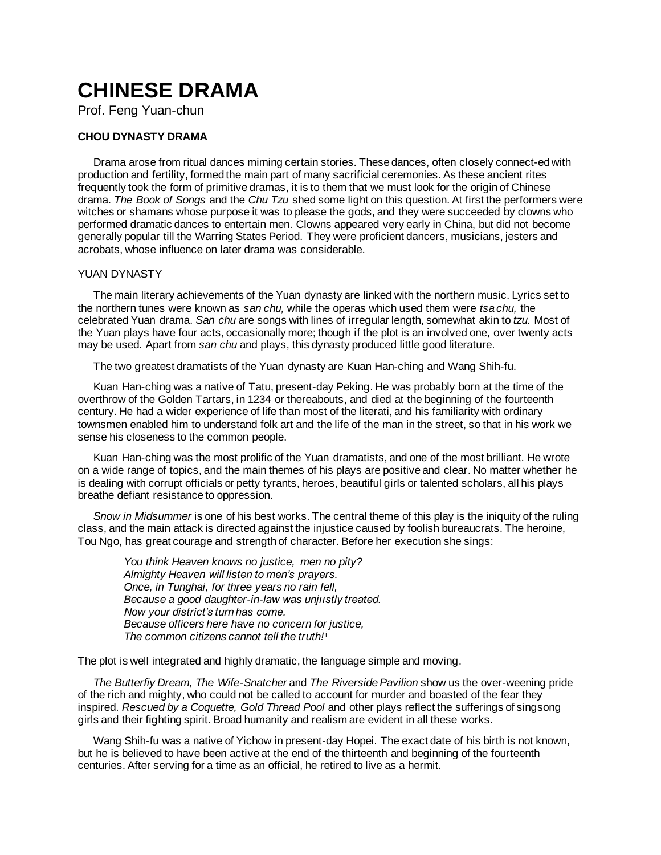# **CHINESE DRAMA**

Prof. Feng Yuan-chun

## **CHOU DYNASTY DRAMA**

Drama arose from ritual dances miming certain stories. These dances, often closely connect-ed with production and fertility, formed the main part of many sacrificial ceremonies. As these ancient rites frequently took the form of primitive dramas, it is to them that we must look for the origin of Chinese drama. *The Book of Songs* and the *Chu Tzu* shed some light on this question. At first the performers were witches or shamans whose purpose it was to please the gods, and they were succeeded by clowns who performed dramatic dances to entertain men. Clowns appeared very early in China, but did not become generally popular till the Warring States Period. They were proficient dancers, musicians, jesters and acrobats, whose influence on later drama was considerable.

### YUAN DYNASTY

The main literary achievements of the Yuan dynasty are linked with the northern music. Lyrics set to the northern tunes were known as *san chu,* while the operas which used them were *tsa chu,* the celebrated Yuan drama. *San chu* are songs with lines of irregular length, somewhat akin to *tzu.* Most of the Yuan plays have four acts, occasionally more; though if the plot is an involved one, over twenty acts may be used. Apart from *san chu* and plays, this dynasty produced little good literature.

The two greatest dramatists of the Yuan dynasty are Kuan Han-ching and Wang Shih-fu.

Kuan Han-ching was a native of Tatu, present-day Peking. He was probably born at the time of the overthrow of the Golden Tartars, in 1234 or thereabouts, and died at the beginning of the fourteenth century. He had a wider experience of life than most of the literati, and his familiarity with ordinary townsmen enabled him to understand folk art and the life of the man in the street, so that in his work we sense his closeness to the common people.

Kuan Han-ching was the most prolific of the Yuan dramatists, and one of the most brilliant. He wrote on a wide range of topics, and the main themes of his plays are positive and clear. No matter whether he is dealing with corrupt officials or petty tyrants, heroes, beautiful girls or talented scholars, all his plays breathe defiant resistance to oppression.

*Snow in Midsummer* is one of his best works. The central theme of this play is the iniquity of the ruling class, and the main attack is directed against the injustice caused by foolish bureaucrats. The heroine, Tou Ngo, has great courage and strength of character. Before her execution she sings:

*You think Heaven knows no justice, men no pity? Almighty Heaven will listen to men's prayers. Once, in Tunghai, for three years no rain fell, Because a good daughter-in-law was unjııstly treated. Now your district's turn has come. Because officers here have no concern for justice, The common citizens cannot tell the truth!* i

The plot is well integrated and highly dramatic, the language simple and moving.

*The Butterfiy Dream, The Wife-Snatcher* and *The Riverside Pavilion* show us the over-weening pride of the rich and mighty, who could not be called to account for murder and boasted of the fear they inspired. *Rescued by a Coquette, Gold Thread Pool* and other plays reflect the sufferings of singsong girls and their fighting spirit. Broad humanity and realism are evident in all these works.

Wang Shih-fu was a native of Yichow in present-day Hopei. The exact date of his birth is not known, but he is believed to have been active at the end of the thirteenth and beginning of the fourteenth centuries. After serving for a time as an official, he retired to live as a hermit.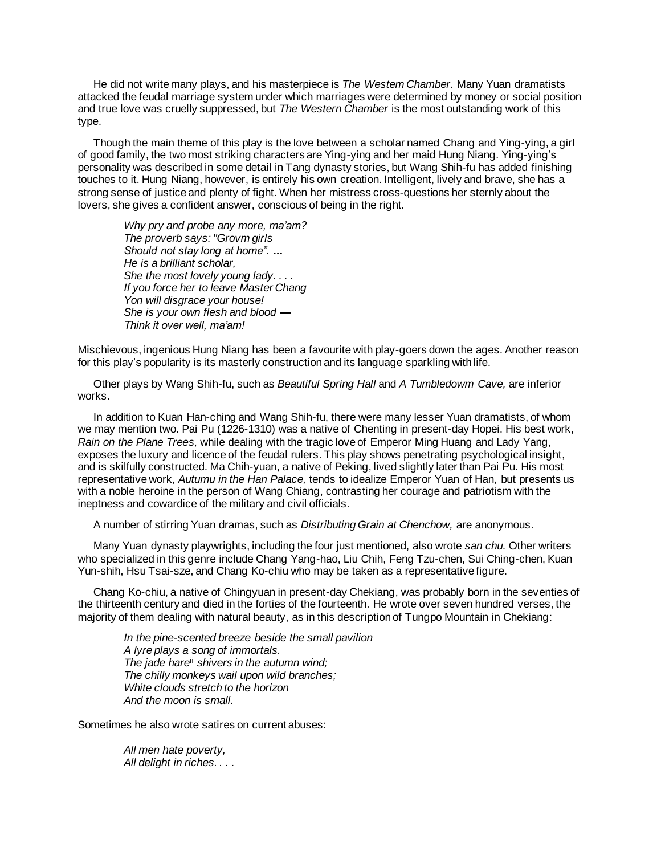He did not write many plays, and his masterpiece is *The Westem Chamber.* Many Yuan dramatists attacked the feudal marriage system under which marriages were determined by money or social position and true love was cruelly suppressed, but *The Western Chamber* is the most outstanding work of this type.

Though the main theme of this play is the love between a scholar named Chang and Ying-ying, a girl of good family, the two most striking characters are Ying-ying and her maid Hung Niang. Ying-ying's personality was described in some detail in Tang dynasty stories, but Wang Shih-fu has added finishing touches to it. Hung Niang, however, is entirely his own creation. Intelligent, lively and brave, she has a strong sense of justice and plenty of fight. When her mistress cross-questions her sternly about the lovers, she gives a confident answer, conscious of being in the right.

*Why pry and probe any more, ma'am? The proverb says: "Grovm girls Should not stay long at home". ... He is a brilliant scholar, She the most lovely young lady. . . . If you force her to leave Master Chang Yon will disgrace your house! She is your own flesh and blood — Think it over well, ma'am!*

Mischievous, ingenious Hung Niang has been a favourite with play-goers down the ages. Another reason for this play's popularity is its masterly construction and its language sparkling with life.

Other plays by Wang Shih-fu, such as *Beautiful Spring Hall* and *A Tumbledowm Cave,* are inferior works.

In addition to Kuan Han-ching and Wang Shih-fu, there were many lesser Yuan dramatists, of whom we may mention two. Pai Pu (1226-1310) was a native of Chenting in present-day Hopei. His best work, *Rain on the Plane Trees,* while dealing with the tragic love of Emperor Ming Huang and Lady Yang, exposes the luxury and licence of the feudal rulers. This play shows penetrating psychological insight, and is skilfully constructed. Ma Chih-yuan, a native of Peking, lived slightly later than Pai Pu. His most representative work, *Autumu in the Han Palace,* tends to idealize Emperor Yuan of Han, but presents us with a noble heroine in the person of Wang Chiang, contrasting her courage and patriotism with the ineptness and cowardice of the military and civil officials.

A number of stirring Yuan dramas, such as *Distributing Grain at Chenchow,* are anonymous.

Many Yuan dynasty playwrights, including the four just mentioned, also wrote *san chu.* Other writers who specialized in this genre include Chang Yang-hao, Liu Chih, Feng Tzu-chen, Sui Ching-chen, Kuan Yun-shih, Hsu Tsai-sze, and Chang Ko-chiu who may be taken as a representative figure.

Chang Ko-chiu, a native of Chingyuan in present-day Chekiang, was probably born in the seventies of the thirteenth century and died in the forties of the fourteenth. He wrote over seven hundred verses, the majority of them dealing with natural beauty, as in this description of Tungpo Mountain in Chekiang:

*In the pine-scented breeze beside the small pavilion A lyre plays a song of immortals. The jade hare*ii *shivers in the autumn wind; The chilly monkeys wail upon wild branches; White clouds stretch to the horizon And the moon is small.*

Sometimes he also wrote satires on current abuses:

*All men hate poverty, All delight in riches. . . .*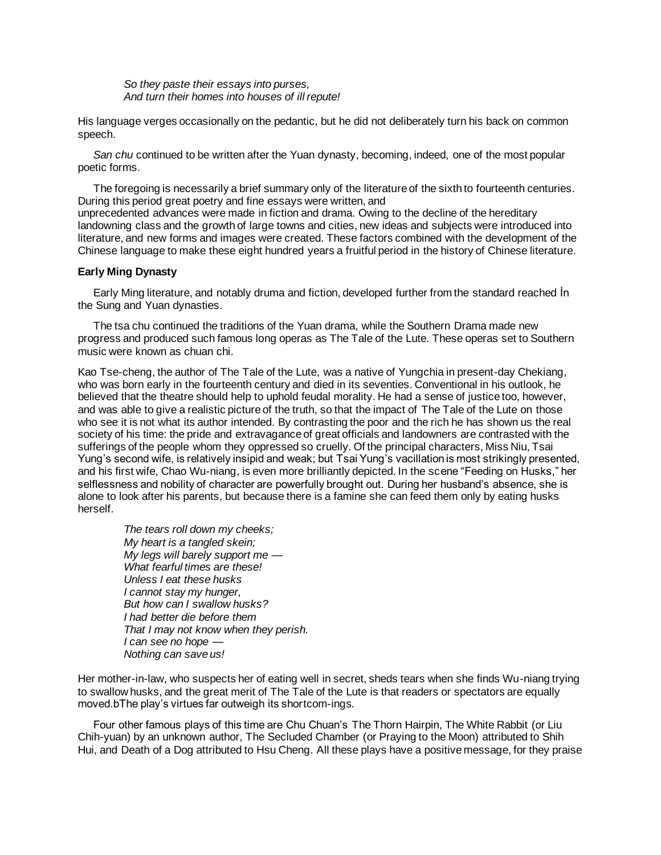*So they paste their essays into purses, And turn their homes into houses of ill repute!*

His language verges occasionally on the pedantic, but he did not deliberately turn his back on common speech.

*San chu* continued to be written after the Yuan dynasty, becoming, indeed, one of the most popular poetic forms.

The foregoing is necessarily a brief summary only of the literature of the sixth to fourteenth centuries. During this period great poetry and fine essays were written, and

unprecedented advances were made in fiction and drama. Owing to the decline of the hereditary landowning class and the growth of large towns and cities, new ideas and subjects were introduced into literature, and new forms and images were created. These factors combined with the development of the Chinese language to make these eight hundred years a fruitful period in the history of Chinese literature.

#### **Early Ming Dynasty**

Early Ming literature, and notably druma and fiction, developed further from the standard reached İn the Sung and Yuan dynasties.

The tsa chu continued the traditions of the Yuan drama, while the Southern Drama made new progress and produced such famous long operas as The Tale of the Lute. These operas set to Southern music were known as chuan chi.

Kao Tse-cheng, the author of The Tale of the Lute, was a native of Yungchia in present-day Chekiang, who was born early in the fourteenth century and died in its seventies. Conventional in his outlook, he believed that the theatre should help to uphold feudal morality. He had a sense of justice too, however, and was able to give a realistic picture of the truth, so that the impact of The Tale of the Lute on those who see it is not what its author intended. By contrasting the poor and the rich he has shown us the real society of his time: the pride and extravagance of great officials and landowners are contrasted with the sufferings of the people whom they oppressed so cruelly. Of the principal characters, Miss Niu, Tsai Yung's second wife, is relatively insipid and weak; but Tsai Yung's vacillation is most strikingly presented, and his first wife, Chao Wu-niang, is even more brilliantly depicted. In the scene "Feeding on Husks," her selflessness and nobility of character are powerfully brought out. During her husband's absence, she is alone to look after his parents, but because there is a famine she can feed them only by eating husks herself.

*The tears roll down my cheeks; My heart is a tangled skein; My legs will barely support me* — *What fearful times are these! Unless I eat these husks I cannot stay my hunger, But how can I swallow husks? I had better die before them That I may not know when they perish. I can see no hope* — *Nothing can save us!*

Her mother-in-law, who suspects her of eating well in secret, sheds tears when she finds Wu-niang trying to swallow husks, and the great merit of The Tale of the Lute is that readers or spectators are equally moved.bThe play's virtues far outweigh its shortcom-ings.

Four other famous plays of this time are Chu Chuan's The Thorn Hairpin, The White Rabbit (or Liu Chih-yuan) by an unknown author, The Secluded Chamber (or Praying to the Moon) attributed to Shih Hui, and Death of a Dog attributed to Hsu Cheng. All these plays have a positive message, for they praise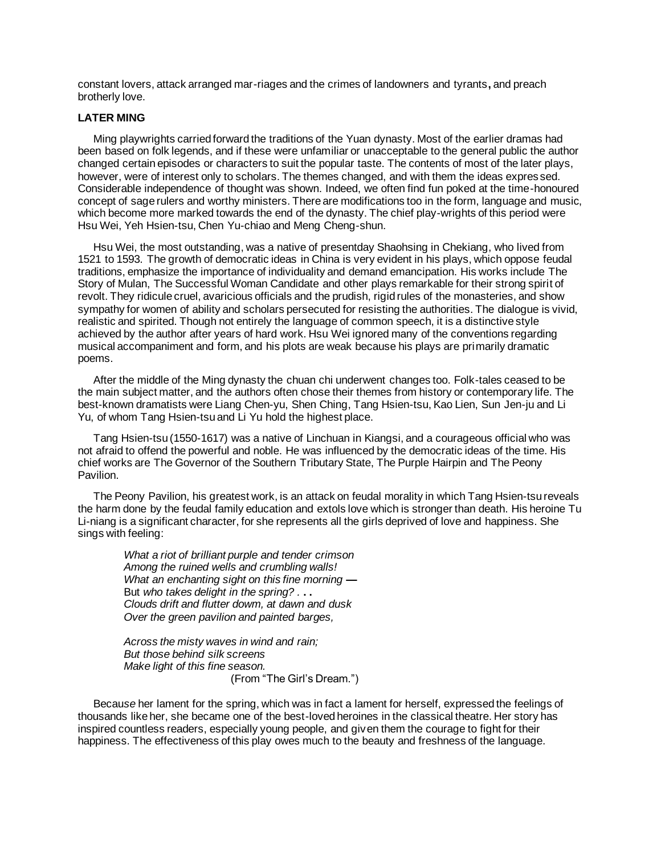constant lovers, attack arranged mar-riages and the crimes of landowners and tyrants**,** and preach brotherly love.

#### **LATER MING**

Ming playwrights carried forward the traditions of the Yuan dynasty. Most of the earlier dramas had been based on folk legends, and if these were unfamiliar or unacceptable to the general public the author changed certain episodes or characters to suit the popular taste. The contents of most of the later plays, however, were of interest only to scholars. The themes changed, and with them the ideas expres sed. Considerable independence of thought was shown. Indeed, we often find fun poked at the time-honoured concept of sage rulers and worthy ministers. There are modifications too in the form, language and music, which become more marked towards the end of the dynasty. The chief play-wrights of this period were Hsu Wei, Yeh Hsien-tsu, Chen Yu-chiao and Meng Cheng-shun.

Hsu Wei, the most outstanding, was a native of presentday Shaohsing in Chekiang, who lived from 1521 to 1593. The growth of democratic ideas in China is very evident in his plays, which oppose feudal traditions, emphasize the importance of individuality and demand emancipation. His works include The Story of Mulan, The Successful Woman Candidate and other plays remarkable for their strong spirit of revolt. They ridicule cruel, avaricious officials and the prudish, rigid rules of the monasteries, and show sympathy for women of ability and scholars persecuted for resisting the authorities. The dialogue is vivid, realistic and spirited. Though not entirely the language of common speech, it is a distinctive style achieved by the author after years of hard work. Hsu Wei ignored many of the conventions regarding musical accompaniment and form, and his plots are weak because his plays are primarily dramatic poems.

After the middle of the Ming dynasty the chuan chi underwent changes too. Folk-tales ceased to be the main subject matter, and the authors often chose their themes from history or contemporary life. The best-known dramatists were Liang Chen-yu, Shen Ching, Tang Hsien-tsu, Kao Lien, Sun Jen-ju and Li Yu, of whom Tang Hsien-tsu and Li Yu hold the highest place.

Tang Hsien-tsu (1550-1617) was a native of Linchuan in Kiangsi, and a courageous official who was not afraid to offend the powerful and noble. He was influenced by the democratic ideas of the time. His chief works are The Governor of the Southern Tributary State, The Purple Hairpin and The Peony Pavilion.

The Peony Pavilion, his greatest work, is an attack on feudal morality in which Tang Hsien-tsu reveals the harm done by the feudal family education and extols love which is stronger than death. His heroine Tu Li-niang is a significant character, for she represents all the girls deprived of love and happiness. She sings with feeling:

*What a riot of brilliant purple and tender crimson Among the ruined wells and crumbling walls! What an enchanting sight on this fine morning* **—** But *who takes delight in the spring? .* **. .** *Clouds drift and flutter dowm, at dawn and dusk Over the green pavilion and painted barges,*

*Across the misty waves in wind and rain; But those behind silk screens Make light of this fine season.* (From "The Girl's Dream.")

Becau*se* her lament for the spring, which was in fact a lament for herself, expressed the feelings of thousands like her, she became one of the best-loved heroines in the classical theatre. Her story has inspired countless readers, especially young people, and given them the courage to fight for their happiness. The effectiveness of this play owes much to the beauty and freshness of the language.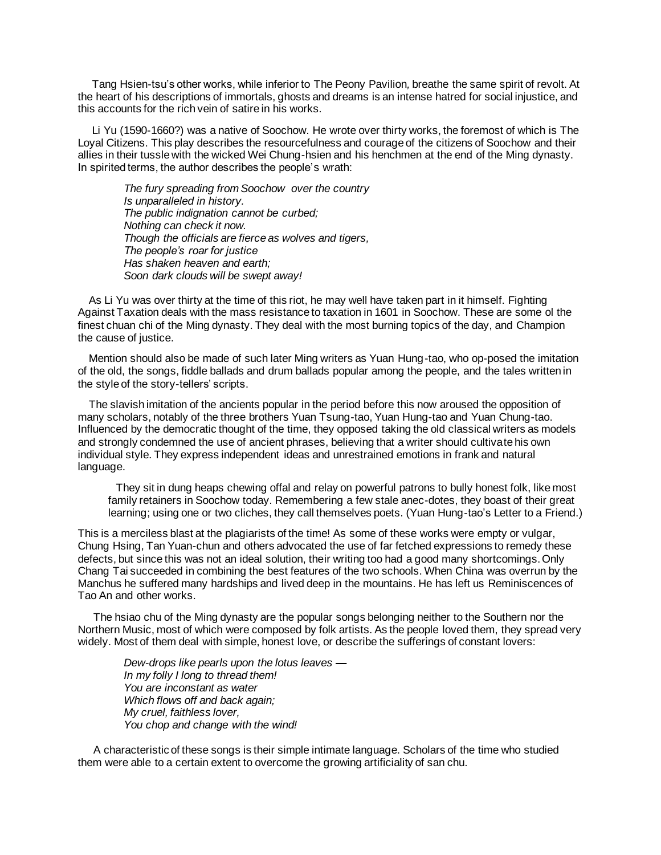Tang Hsien-tsu's other works, while inferior to The Peony Pavilion*,* breathe the same spirit of revolt. At the heart of his descriptions of immortals, ghosts and dreams is an intense hatred for social injustice, and this accounts for the rich vein of satire in his works.

Li Yu (1590-1660?) was a native of Soochow. He wrote over thirty works, the foremost of which is The Loyal Citizens. This play describes the resourcefulness and courage of the citizens of Soochow and their allies in their tussle with the wicked Wei Chung-hsien and his henchmen at the end of the Ming dynasty. In spirited terms, the author describes the people's wrath:

*The fury spreading from Soochow over the country Is unparalleled in history. The public indignation cannot be curbed; Nothing can check it now. Though the officials are fierce as wolves and tigers, The people's roar for justice Has shaken heaven and earth; Soon dark clouds will be swept away!*

As Li Yu was over thirty at the time of this riot, he may well have taken part in it himself. Fighting Against Taxation deals with the mass resistance to taxation in 1601 in Soochow. These are some ol the finest chuan chi of the Ming dynasty. They deal with the most burning topics of the day, and Champion the cause of justice.

Mention should also be made of such later Ming writers as Yuan Hung-tao, who op-posed the imitation of the old, the songs, fiddle ballads and drum ballads popular among the people, and the tales written in the style of the story-tellers' scripts.

The slavish imitation of the ancients popular in the period before this now aroused the opposition of many scholars, notably of the three brothers Yuan Tsung-tao, Yuan Hung-tao and Yuan Chung-tao. Influenced by the democratic thought of the time, they opposed taking the old classical writers as models and strongly condemned the use of ancient phrases, believing that a writer should cultivate his own individual style. They express independent ideas and unrestrained emotions in frank and natural language.

They sit in dung heaps chewing offal and relay on powerful patrons to bully honest folk, like most family retainers in Soochow today. Remembering a few stale anec-dotes, they boast of their great learning; using one or two cliches, they call themselves poets. (Yuan Hung-tao's Letter to a Friend.)

This is a merciless blast at the plagiarists of the time! As some of these works were empty or vulgar, Chung Hsing, Tan Yuan-chun and others advocated the use of far fetched expressions to remedy these defects, but since this was not an ideal solution, their writing too had a good many shortcomings. Only Chang Tai succeeded in combining the best features of the two schools. When China was overrun by the Manchus he suffered many hardships and lived deep in the mountains. He has left us Reminiscences of Tao An and other works.

The hsiao chu of the Ming dynasty are the popular songs belonging neither to the Southern nor the Northern Music, most of which were composed by folk artists. As the people loved them, they spread very widely. Most of them deal with simple, honest love, or describe the sufferings of constant lovers:

*Dew-drops like pearls upon the lotus leaves* **—** *In my folly I long to thread them! You are inconstant as water Which flows off and back again; My cruel, faithless lover, You chop and change with the wind!*

A characteristic of these songs is their simple intimate language. Scholars of the time who studied them were able to a certain extent to overcome the growing artificiality of san chu.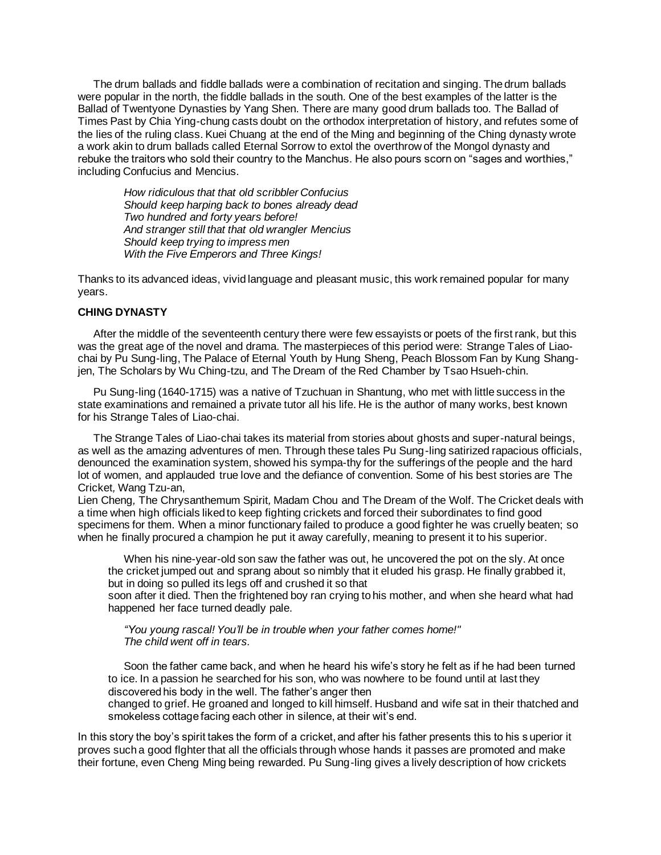The drum ballads and fiddle ballads were a combination of recitation and singing. The drum ballads were popular in the north, the fiddle ballads in the south. One of the best examples of the latter is the Ballad of Twentyone Dynasties by Yang Shen. There are many good drum ballads too. The Ballad of Times Past by Chia Ying-chung casts doubt on the orthodox interpretation of history, and refutes some of the lies of the ruling class. Kuei Chuang at the end of the Ming and beginning of the Ching dynasty wrote a work akin to drum ballads called Eternal Sorrow to extol the overthrow of the Mongol dynasty and rebuke the traitors who sold their country to the Manchus. He also pours scorn on "sages and worthies," including Confucius and Mencius.

*How ridiculous that that old scribbler Confucius Should keep harping back to bones already dead Two hundred and forty years before! And stranger still that that old wrangler Mencius Should keep trying to impress men With the Five Emperors and Three Kings!*

Thanks to its advanced ideas, vivid language and pleasant music, this work remained popular for many years.

#### **CHING DYNASTY**

After the middle of the seventeenth century there were few essayists or poets of the first rank, but this was the great age of the novel and drama. The masterpieces of this period were: Strange Tales of Liaochai by Pu Sung-ling, The Palace of Eternal Youth by Hung Sheng, Peach Blossom Fan by Kung Shangjen, The Scholars by Wu Ching-tzu, and The Dream of the Red Chamber by Tsao Hsueh-chin.

Pu Sung-ling (1640-1715) was a native of Tzuchuan in Shantung, who met with little success in the state examinations and remained a private tutor all his life. He is the author of many works, best known for his Strange Tales of Liao-chai.

The Strange Tales of Liao-chai takes its material from stories about ghosts and super-natural beings, as well as the amazing adventures of men. Through these tales Pu Sung-ling satirized rapacious officials, denounced the examination system, showed his sympa-thy for the sufferings of the people and the hard lot of women, and applauded true love and the defiance of convention. Some of his best stories are The Cricket*,* Wang Tzu-an,

Lien Cheng*,* The Chrysanthemum Spirit*,* Madam Chou and The Dream of the Wolf. The Cricket deals with a time when high officials liked to keep fighting crickets and forced their subordinates to find good specimens for them. When a minor functionary failed to produce a good fighter he was cruelly beaten; so when he finally procured a champion he put it away carefully, meaning to present it to his superior.

When his nine-year-old son saw the father was out, he uncovered the pot on the sly. At once the cricket jumped out and sprang about so nimbly that it eluded his grasp. He finally grabbed it, but in doing so pulled its legs off and crushed it so that

soon after it died. Then the frightened boy ran crying to his mother, and when she heard what had happened her face turned deadly pale.

*"You young rascal! You'll be in trouble when your father comes home!" The child went off in tears.*

Soon the father came back, and when he heard his wife's story he felt as if he had been turned to ice. In a passion he searched for his son, who was nowhere to be found until at last they discovered his body in the well. The father's anger then

changed to grief. He groaned and longed to kill himself. Husband and wife sat in their thatched and smokeless cottage facing each other in silence, at their wit's end.

In this story the boy's spirit takes the form of a cricket, and after his father presents this to his s uperior it proves such a good flghter that all the officials through whose hands it passes are promoted and make their fortune, even Cheng Ming being rewarded. Pu Sung-ling gives a lively description of how crickets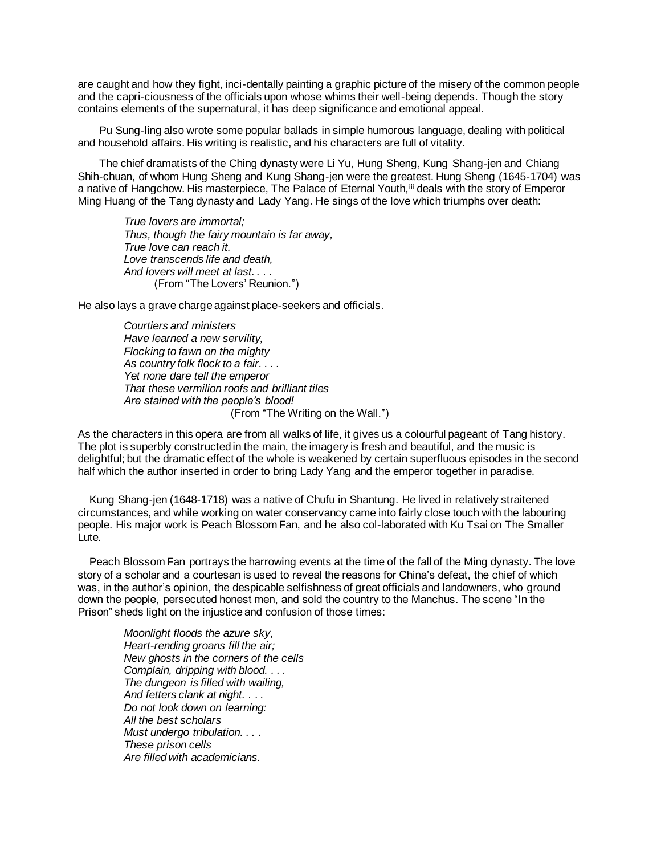are caught and how they fight, inci-dentally painting a graphic picture of the misery of the common people and the capri-ciousness of the officials upon whose whims their well-being depends. Though the story contains elements of the supernatural, it has deep significance and emotional appeal.

Pu Sung-ling also wrote some popular ballads in simple humorous language, dealing with political and household affairs. His writing is realistic, and his characters are full of vitality.

The chief dramatists of the Ching dynasty were Li Yu, Hung Sheng, Kung Shang-jen and Chiang Shih-chuan, of whom Hung Sheng and Kung Shang-jen were the greatest. Hung Sheng (1645-1704) was a native of Hangchow. His masterpiece, The Palace of Eternal Youth,<sup>iii</sup> deals with the story of Emperor Ming Huang of the Tang dynasty and Lady Yang. He sings of the love which triumphs over death:

*True lovers are immortal; Thus, though the fairy mountain is far away, True love can reach it. Love transcends life and death, And lovers will meet at last. . . .* (From "The Lovers' Reunion.")

He also lays a grave charge against place-seekers and officials.

*Courtiers and ministers Have learned a new servility, Flocking to fawn on the mighty As country folk flock to a fair. . . . Yet none dare tell the emperor That these vermilion roofs and brilliant tiles Are stained with the people's blood!* (From "The Writing on the Wall.")

As the characters in this opera are from all walks of life, it gives us a colourful pageant of Tang history. The plot is superbly constructed in the main, the imagery is fresh and beautiful, and the music is delightful; but the dramatic effect of the whole is weakened by certain superfluous episodes in the second half which the author inserted in order to bring Lady Yang and the emperor together in paradise.

Kung Shang-jen (1648-1718) was a native of Chufu in Shantung. He lived in relatively straitened circumstances, and while working on water conservancy came into fairly close touch with the labouring people. His major work is Peach Blossom Fan, and he also col-laborated with Ku Tsai on The Smaller Lute*.*

Peach Blossom Fan portrays the harrowing events at the time of the fall of the Ming dynasty. The love story of a scholar and a courtesan is used to reveal the reasons for China's defeat, the chief of which was, in the author's opinion, the despicable selfishness of great officials and landowners, who ground down the people, persecuted honest men, and sold the country to the Manchus. The scene "In the Prison" sheds light on the injustice and confusion of those times:

*Moonlight floods the azure sky, Heart-rending groans fill the air; New ghosts in the corners of the cells Complain, dripping with blood. . . . The dungeon is filled with wailing, And fetters clank at night. .* . *. Do not look down on learning: All the best scholars Must undergo tribulation.* . . . *These prison cells Are filled with academicians.*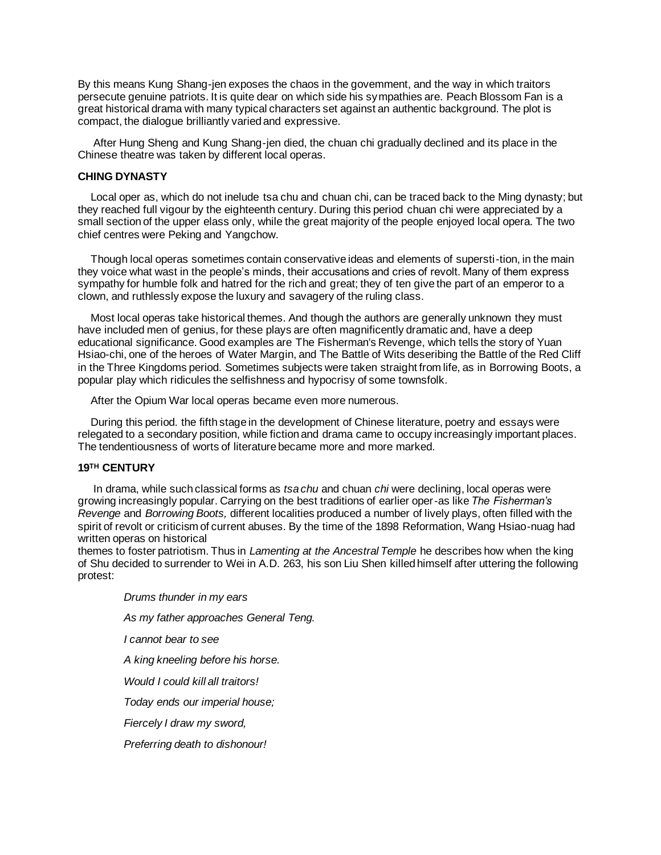By this means Kung Shang-jen exposes the chaos in the govemment, and the way in which traitors persecute genuine patriots. It is quite dear on which side his sympathies are. Peach Blossom Fan is a great historical drama with many typical characters set against an authentic background. The plot is compact, the dialogue brilliantly varied and expressive.

After Hung Sheng and Kung Shang-jen died, the chuan chi gradually declined and its place in the Chinese theatre was taken by different local operas.

#### **CHING DYNASTY**

Local oper as, which do not inelude tsa chu and chuan chi, can be traced back to the Ming dynasty; but they reached full vigour by the eighteenth century. During this period chuan chi were appreciated by a small section of the upper elass only, while the great majority of the people enjoyed local opera. The two chief centres were Peking and Yangchow.

Though local operas sometimes contain conservative ideas and elements of supersti-tion, in the main they voice what wast in the people's minds, their accusations and cries of revolt. Many of them express sympathy for humble folk and hatred for the rich and great; they of ten give the part of an emperor to a clown, and ruthlessly expose the luxury and savagery of the ruling class.

Most local operas take historical themes. And though the authors are generally unknown they must have included men of genius, for these plays are often magnificently dramatic and, have a deep educational significance. Good examples are The Fisherman's Revenge, which tells the story of Yuan Hsiao-chi, one of the heroes of Water Margin, and The Battle of Wits deseribing the Battle of the Red Cliff in the Three Kingdoms period. Sometimes subjects were taken straight from life, as in Borrowing Boots, a popular play which ridicules the selfishness and hypocrisy of some townsfolk.

After the Opium War local operas became even more numerous.

During this period. the fifth stage in the development of Chinese literature, poetry and essays were relegated to a secondary position, while fiction and drama came to occupy increasingly important places. The tendentiousness of worts of literature became more and more marked.

#### **19TH CENTURY**

In drama, while such classical forms as *tsa chu* and chuan *chi* were declining, local operas were growing increasingly popular. Carrying on the best traditions of earlier oper-as like *The Fisherman's Revenge* and *Borrowing Boots,* different localities produced a number of lively plays, often filled with the spirit of revolt or criticism of current abuses. By the time of the 1898 Reformation, Wang Hsiao-nuag had written operas on historical

themes to foster patriotism. Thus in *Lamenting at the Ancestral Temple* he describes how when the king of Shu decided to surrender to Wei in A.D. 263, his son Liu Shen killed himself after uttering the following protest:

*Drums thunder in my ears As my father approaches General Teng. I cannot bear to see A king kneeling before his horse. Would I could kill all traitors! Today ends our imperial house; Fiercely I draw my sword, Preferring death to dishonour!*